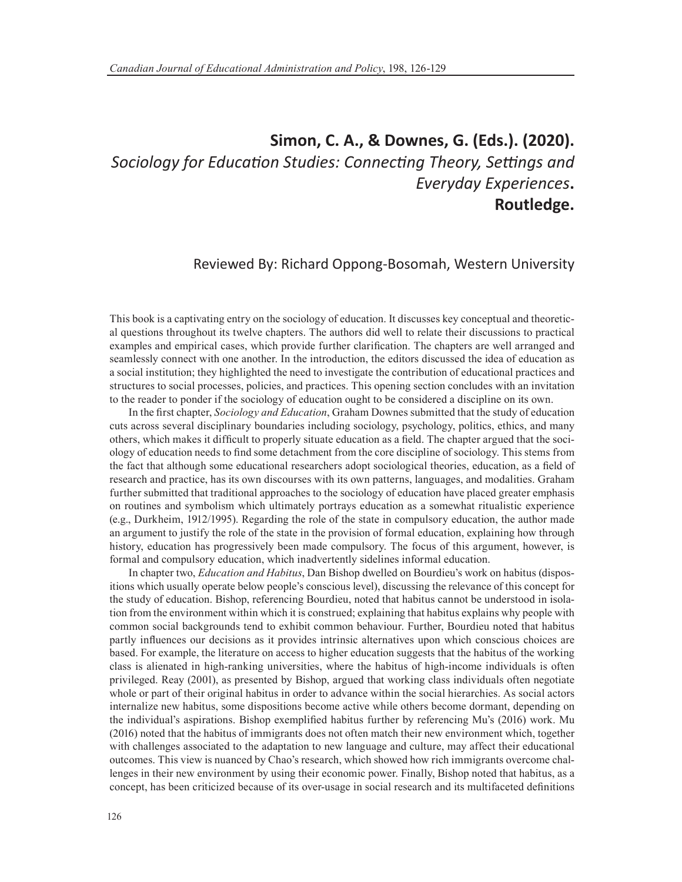## **Simon, C. A., & Downes, G. (Eds.). (2020).** *Sociology for Education Studies: Connecting Theory, Settings and Everyday Experiences***. Routledge.**

Reviewed By: Richard Oppong-Bosomah, Western University

This book is a captivating entry on the sociology of education. It discusses key conceptual and theoretical questions throughout its twelve chapters. The authors did well to relate their discussions to practical examples and empirical cases, which provide further clarification. The chapters are well arranged and seamlessly connect with one another. In the introduction, the editors discussed the idea of education as a social institution; they highlighted the need to investigate the contribution of educational practices and structures to social processes, policies, and practices. This opening section concludes with an invitation to the reader to ponder if the sociology of education ought to be considered a discipline on its own.

In the first chapter, *Sociology and Education*, Graham Downes submitted that the study of education cuts across several disciplinary boundaries including sociology, psychology, politics, ethics, and many others, which makes it difficult to properly situate education as a field. The chapter argued that the sociology of education needs to find some detachment from the core discipline of sociology. This stems from the fact that although some educational researchers adopt sociological theories, education, as a field of research and practice, has its own discourses with its own patterns, languages, and modalities. Graham further submitted that traditional approaches to the sociology of education have placed greater emphasis on routines and symbolism which ultimately portrays education as a somewhat ritualistic experience (e.g., Durkheim, 1912/1995). Regarding the role of the state in compulsory education, the author made an argument to justify the role of the state in the provision of formal education, explaining how through history, education has progressively been made compulsory. The focus of this argument, however, is formal and compulsory education, which inadvertently sidelines informal education.

In chapter two, *Education and Habitus*, Dan Bishop dwelled on Bourdieu's work on habitus (dispositions which usually operate below people's conscious level), discussing the relevance of this concept for the study of education. Bishop, referencing Bourdieu, noted that habitus cannot be understood in isolation from the environment within which it is construed; explaining that habitus explains why people with common social backgrounds tend to exhibit common behaviour. Further, Bourdieu noted that habitus partly influences our decisions as it provides intrinsic alternatives upon which conscious choices are based. For example, the literature on access to higher education suggests that the habitus of the working class is alienated in high-ranking universities, where the habitus of high-income individuals is often privileged. Reay (2001), as presented by Bishop, argued that working class individuals often negotiate whole or part of their original habitus in order to advance within the social hierarchies. As social actors internalize new habitus, some dispositions become active while others become dormant, depending on the individual's aspirations. Bishop exemplified habitus further by referencing Mu's (2016) work. Mu (2016) noted that the habitus of immigrants does not often match their new environment which, together with challenges associated to the adaptation to new language and culture, may affect their educational outcomes. This view is nuanced by Chao's research, which showed how rich immigrants overcome challenges in their new environment by using their economic power. Finally, Bishop noted that habitus, as a concept, has been criticized because of its over-usage in social research and its multifaceted definitions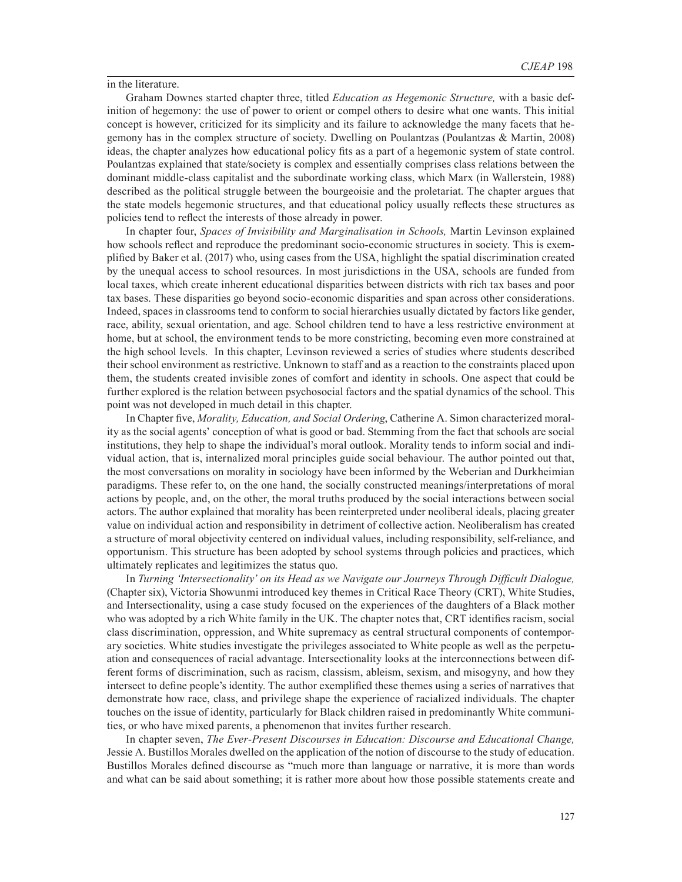in the literature.

Graham Downes started chapter three, titled *Education as Hegemonic Structure,* with a basic definition of hegemony: the use of power to orient or compel others to desire what one wants. This initial concept is however, criticized for its simplicity and its failure to acknowledge the many facets that hegemony has in the complex structure of society. Dwelling on Poulantzas (Poulantzas & Martin, 2008) ideas, the chapter analyzes how educational policy fits as a part of a hegemonic system of state control. Poulantzas explained that state/society is complex and essentially comprises class relations between the dominant middle-class capitalist and the subordinate working class, which Marx (in Wallerstein, 1988) described as the political struggle between the bourgeoisie and the proletariat. The chapter argues that the state models hegemonic structures, and that educational policy usually reflects these structures as policies tend to reflect the interests of those already in power.

In chapter four, *Spaces of Invisibility and Marginalisation in Schools,* Martin Levinson explained how schools reflect and reproduce the predominant socio-economic structures in society. This is exemplified by Baker et al. (2017) who, using cases from the USA, highlight the spatial discrimination created by the unequal access to school resources. In most jurisdictions in the USA, schools are funded from local taxes, which create inherent educational disparities between districts with rich tax bases and poor tax bases. These disparities go beyond socio-economic disparities and span across other considerations. Indeed, spaces in classrooms tend to conform to social hierarchies usually dictated by factors like gender, race, ability, sexual orientation, and age. School children tend to have a less restrictive environment at home, but at school, the environment tends to be more constricting, becoming even more constrained at the high school levels. In this chapter, Levinson reviewed a series of studies where students described their school environment as restrictive. Unknown to staff and as a reaction to the constraints placed upon them, the students created invisible zones of comfort and identity in schools. One aspect that could be further explored is the relation between psychosocial factors and the spatial dynamics of the school. This point was not developed in much detail in this chapter.

In Chapter five, *Morality, Education, and Social Ordering*, Catherine A. Simon characterized morality as the social agents' conception of what is good or bad. Stemming from the fact that schools are social institutions, they help to shape the individual's moral outlook. Morality tends to inform social and individual action, that is, internalized moral principles guide social behaviour. The author pointed out that, the most conversations on morality in sociology have been informed by the Weberian and Durkheimian paradigms. These refer to, on the one hand, the socially constructed meanings/interpretations of moral actions by people, and, on the other, the moral truths produced by the social interactions between social actors. The author explained that morality has been reinterpreted under neoliberal ideals, placing greater value on individual action and responsibility in detriment of collective action. Neoliberalism has created a structure of moral objectivity centered on individual values, including responsibility, self-reliance, and opportunism. This structure has been adopted by school systems through policies and practices, which ultimately replicates and legitimizes the status quo.

In *Turning 'Intersectionality' on its Head as we Navigate our Journeys Through Difficult Dialogue,*  (Chapter six), Victoria Showunmi introduced key themes in Critical Race Theory (CRT), White Studies, and Intersectionality, using a case study focused on the experiences of the daughters of a Black mother who was adopted by a rich White family in the UK. The chapter notes that, CRT identifies racism, social class discrimination, oppression, and White supremacy as central structural components of contemporary societies. White studies investigate the privileges associated to White people as well as the perpetuation and consequences of racial advantage. Intersectionality looks at the interconnections between different forms of discrimination, such as racism, classism, ableism, sexism, and misogyny, and how they intersect to define people's identity. The author exemplified these themes using a series of narratives that demonstrate how race, class, and privilege shape the experience of racialized individuals. The chapter touches on the issue of identity, particularly for Black children raised in predominantly White communities, or who have mixed parents, a phenomenon that invites further research.

In chapter seven, *The Ever-Present Discourses in Education: Discourse and Educational Change,* Jessie A. Bustillos Morales dwelled on the application of the notion of discourse to the study of education. Bustillos Morales defined discourse as "much more than language or narrative, it is more than words and what can be said about something; it is rather more about how those possible statements create and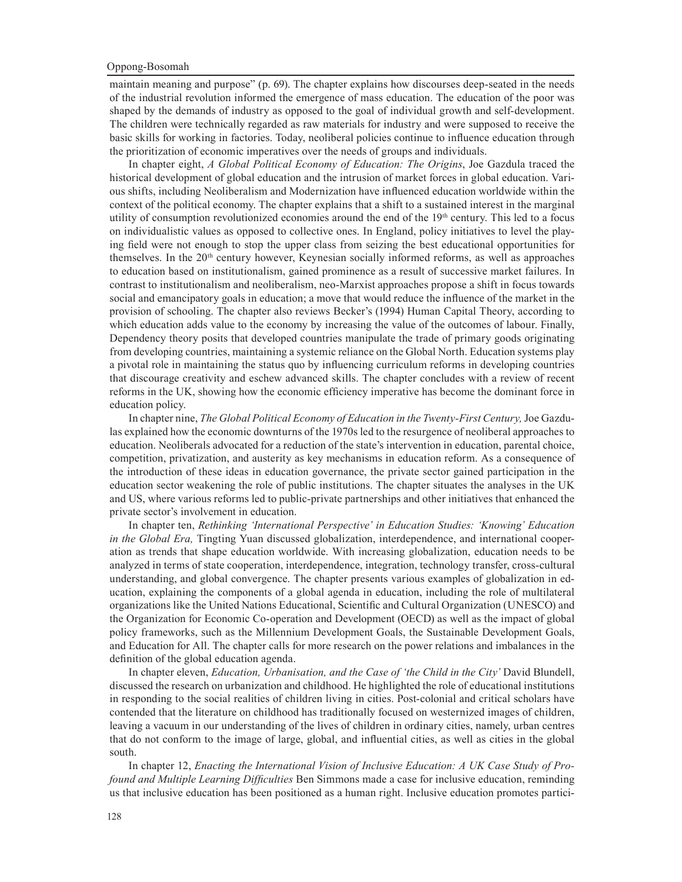## Oppong-Bosomah

maintain meaning and purpose" (p. 69). The chapter explains how discourses deep-seated in the needs of the industrial revolution informed the emergence of mass education. The education of the poor was shaped by the demands of industry as opposed to the goal of individual growth and self-development. The children were technically regarded as raw materials for industry and were supposed to receive the basic skills for working in factories. Today, neoliberal policies continue to influence education through the prioritization of economic imperatives over the needs of groups and individuals.

In chapter eight, *A Global Political Economy of Education: The Origins*, Joe Gazdula traced the historical development of global education and the intrusion of market forces in global education. Various shifts, including Neoliberalism and Modernization have influenced education worldwide within the context of the political economy. The chapter explains that a shift to a sustained interest in the marginal utility of consumption revolutionized economies around the end of the 19th century. This led to a focus on individualistic values as opposed to collective ones. In England, policy initiatives to level the playing field were not enough to stop the upper class from seizing the best educational opportunities for themselves. In the  $20<sup>th</sup>$  century however, Keynesian socially informed reforms, as well as approaches to education based on institutionalism, gained prominence as a result of successive market failures. In contrast to institutionalism and neoliberalism, neo-Marxist approaches propose a shift in focus towards social and emancipatory goals in education; a move that would reduce the influence of the market in the provision of schooling. The chapter also reviews Becker's (1994) Human Capital Theory, according to which education adds value to the economy by increasing the value of the outcomes of labour. Finally, Dependency theory posits that developed countries manipulate the trade of primary goods originating from developing countries, maintaining a systemic reliance on the Global North. Education systems play a pivotal role in maintaining the status quo by influencing curriculum reforms in developing countries that discourage creativity and eschew advanced skills. The chapter concludes with a review of recent reforms in the UK, showing how the economic efficiency imperative has become the dominant force in education policy.

In chapter nine, *The Global Political Economy of Education in the Twenty-First Century,* Joe Gazdulas explained how the economic downturns of the 1970s led to the resurgence of neoliberal approaches to education. Neoliberals advocated for a reduction of the state's intervention in education, parental choice, competition, privatization, and austerity as key mechanisms in education reform. As a consequence of the introduction of these ideas in education governance, the private sector gained participation in the education sector weakening the role of public institutions. The chapter situates the analyses in the UK and US, where various reforms led to public-private partnerships and other initiatives that enhanced the private sector's involvement in education.

In chapter ten, *Rethinking 'International Perspective' in Education Studies: 'Knowing' Education in the Global Era,* Tingting Yuan discussed globalization, interdependence, and international cooperation as trends that shape education worldwide. With increasing globalization, education needs to be analyzed in terms of state cooperation, interdependence, integration, technology transfer, cross-cultural understanding, and global convergence. The chapter presents various examples of globalization in education, explaining the components of a global agenda in education, including the role of multilateral organizations like the United Nations Educational, Scientific and Cultural Organization (UNESCO) and the Organization for Economic Co-operation and Development (OECD) as well as the impact of global policy frameworks, such as the Millennium Development Goals, the Sustainable Development Goals, and Education for All. The chapter calls for more research on the power relations and imbalances in the definition of the global education agenda.

In chapter eleven, *Education, Urbanisation, and the Case of 'the Child in the City'* David Blundell, discussed the research on urbanization and childhood. He highlighted the role of educational institutions in responding to the social realities of children living in cities. Post-colonial and critical scholars have contended that the literature on childhood has traditionally focused on westernized images of children, leaving a vacuum in our understanding of the lives of children in ordinary cities, namely, urban centres that do not conform to the image of large, global, and influential cities, as well as cities in the global south.

In chapter 12, *Enacting the International Vision of Inclusive Education: A UK Case Study of Profound and Multiple Learning Difficulties* Ben Simmons made a case for inclusive education, reminding us that inclusive education has been positioned as a human right. Inclusive education promotes partici